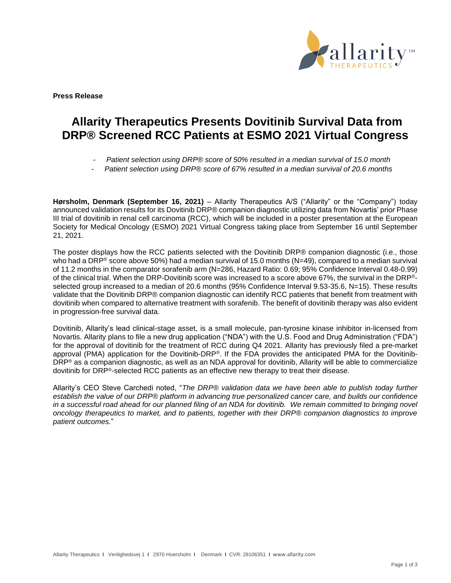

**Press Release**

# **Allarity Therapeutics Presents Dovitinib Survival Data from DRP® Screened RCC Patients at ESMO 2021 Virtual Congress**

- *Patient selection using DRP® score of 50% resulted in a median survival of 15.0 month*
- *Patient selection using DRP® score of 67% resulted in a median survival of 20.6 months*

**Hørsholm, Denmark (September 16, 2021)** – Allarity Therapeutics A/S ("Allarity" or the "Company") today announced validation results for its Dovitinib DRP® companion diagnostic utilizing data from Novartis' prior Phase III trial of dovitinib in renal cell carcinoma (RCC), which will be included in a poster presentation at the European Society for Medical Oncology (ESMO) 2021 Virtual Congress taking place from September 16 until September 21, 2021.

The poster displays how the RCC patients selected with the Dovitinib DRP® companion diagnostic (i.e., those who had a DRP<sup>®</sup> score above 50%) had a median survival of 15.0 months (N=49), compared to a median survival of 11.2 months in the comparator sorafenib arm (N=286, Hazard Ratio: 0.69; 95% Confidence Interval 0.48-0.99) of the clinical trial. When the DRP-Dovitinib score was increased to a score above 67%, the survival in the DRP® selected group increased to a median of 20.6 months (95% Confidence Interval 9.53-35.6, N=15). These results validate that the Dovitinib DRP® companion diagnostic can identify RCC patients that benefit from treatment with dovitinib when compared to alternative treatment with sorafenib. The benefit of dovitinib therapy was also evident in progression-free survival data.

Dovitinib, Allarity's lead clinical-stage asset, is a small molecule, pan-tyrosine kinase inhibitor in-licensed from Novartis. Allarity plans to file a new drug application ("NDA") with the U.S. Food and Drug Administration ("FDA") for the approval of dovitinib for the treatment of RCC during Q4 2021. Allarity has previously filed a pre-market approval (PMA) application for the Dovitinib-DRP®. If the FDA provides the anticipated PMA for the Dovitinib-DRP® as a companion diagnostic, as well as an NDA approval for dovitinib, Allarity will be able to commercialize dovitinib for DRP®-selected RCC patients as an effective new therapy to treat their disease.

Allarity's CEO Steve Carchedi noted, "*The DRP® validation data we have been able to publish today further establish the value of our DRP® platform in advancing true personalized cancer care, and builds our confidence*  in a successful road ahead for our planned filing of an NDA for dovitinib. We remain committed to bringing novel *oncology therapeutics to market, and to patients, together with their DRP® companion diagnostics to improve patient outcomes.*"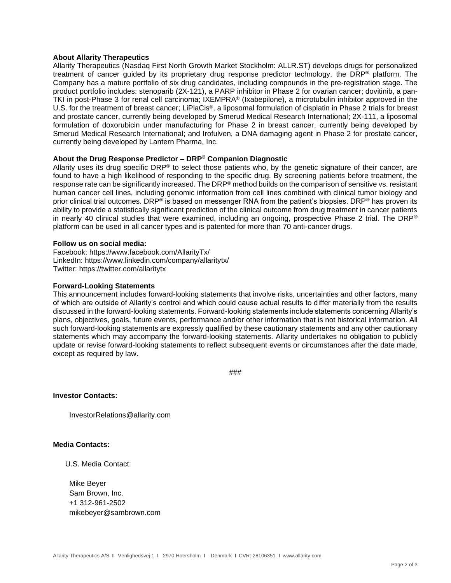## **About Allarity Therapeutics**

Allarity Therapeutics (Nasdaq First North Growth Market Stockholm: ALLR.ST) develops drugs for personalized treatment of cancer guided by its proprietary drug response predictor technology, the DRP® platform. The Company has a mature portfolio of six drug candidates, including compounds in the pre-registration stage. The product portfolio includes: stenoparib (2X-121), a PARP inhibitor in Phase 2 for ovarian cancer; dovitinib, a pan-TKI in post-Phase 3 for renal cell carcinoma; IXEMPRA® (Ixabepilone), a microtubulin inhibitor approved in the U.S. for the treatment of breast cancer; LiPlaCis®, a liposomal formulation of cisplatin in Phase 2 trials for breast and prostate cancer, currently being developed by Smerud Medical Research International; 2X-111, a liposomal formulation of doxorubicin under manufacturing for Phase 2 in breast cancer, currently being developed by Smerud Medical Research International; and Irofulven, a DNA damaging agent in Phase 2 for prostate cancer, currently being developed by Lantern Pharma, Inc.

# **About the Drug Response Predictor – DRP® Companion Diagnostic**

Allarity uses its drug specific DRP® to select those patients who, by the genetic signature of their cancer, are found to have a high likelihood of responding to the specific drug. By screening patients before treatment, the response rate can be significantly increased. The DRP<sup>®</sup> method builds on the comparison of sensitive vs. resistant human cancer cell lines, including genomic information from cell lines combined with clinical tumor biology and prior clinical trial outcomes. DRP® is based on messenger RNA from the patient's biopsies. DRP® has proven its ability to provide a statistically significant prediction of the clinical outcome from drug treatment in cancer patients in nearly 40 clinical studies that were examined, including an ongoing, prospective Phase 2 trial. The DRP® platform can be used in all cancer types and is patented for more than 70 anti-cancer drugs.

#### **Follow us on social media:**

Facebook: https://www.facebook.com/AllarityTx/ LinkedIn: https://www.linkedin.com/company/allaritytx/ Twitter: https://twitter.com/allaritytx

## **Forward-Looking Statements**

This announcement includes forward-looking statements that involve risks, uncertainties and other factors, many of which are outside of Allarity's control and which could cause actual results to differ materially from the results discussed in the forward-looking statements. Forward-looking statements include statements concerning Allarity's plans, objectives, goals, future events, performance and/or other information that is not historical information. All such forward-looking statements are expressly qualified by these cautionary statements and any other cautionary statements which may accompany the forward-looking statements. Allarity undertakes no obligation to publicly update or revise forward-looking statements to reflect subsequent events or circumstances after the date made, except as required by law.

###

# **Investor Contacts:**

InvestorRelations@allarity.com

#### **Media Contacts:**

U.S. Media Contact:

 Mike Beyer Sam Brown, Inc. +1 312-961-2502 mikebeyer@sambrown.com